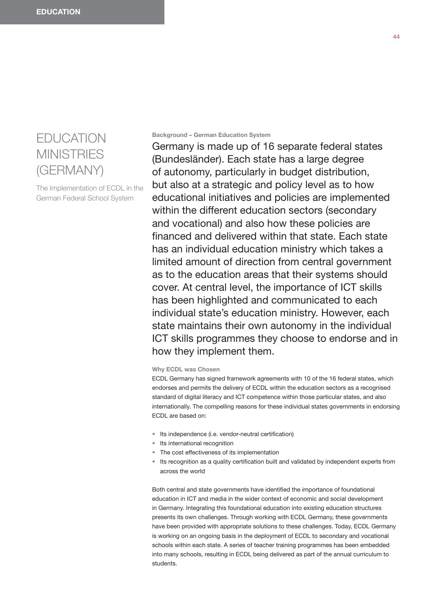# EDUCATION **MINISTRIES** (GERMANY)

The Implementation of ECDL in the German Federal School System

## **Background – German Education System**

Germany is made up of 16 separate federal states (Bundesländer). Each state has a large degree of autonomy, particularly in budget distribution, but also at a strategic and policy level as to how educational initiatives and policies are implemented within the different education sectors (secondary and vocational) and also how these policies are financed and delivered within that state. Each state has an individual education ministry which takes a limited amount of direction from central government as to the education areas that their systems should cover. At central level, the importance of ICT skills has been highlighted and communicated to each individual state's education ministry. However, each state maintains their own autonomy in the individual ICT skills programmes they choose to endorse and in how they implement them.

## **Why ECDL was Chosen**

ECDL Germany has signed framework agreements with 10 of the 16 federal states, which endorses and permits the delivery of ECDL within the education sectors as a recognised standard of digital literacy and ICT competence within those particular states, and also internationally. The compelling reasons for these individual states governments in endorsing ECDL are based on:

- Its independence (i.e. vendor-neutral certification)
- Its international recognition
- The cost effectiveness of its implementation
- Its recognition as a quality certification built and validated by independent experts from across the world

Both central and state governments have identified the importance of foundational education in ICT and media in the wider context of economic and social development in Germany. Integrating this foundational education into existing education structures presents its own challenges. Through working with ECDL Germany, these governments have been provided with appropriate solutions to these challenges. Today, ECDL Germany is working on an ongoing basis in the deployment of ECDL to secondary and vocational schools within each state. A series of teacher training programmes has been embedded into many schools, resulting in ECDL being delivered as part of the annual curriculum to students.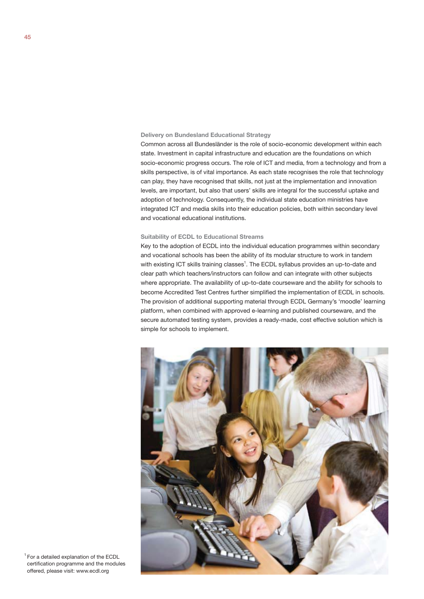#### **Delivery on Bundesland Educational Strategy**

Common across all Bundesländer is the role of socio-economic development within each state. Investment in capital infrastructure and education are the foundations on which socio-economic progress occurs. The role of ICT and media, from a technology and from a skills perspective, is of vital importance. As each state recognises the role that technology can play, they have recognised that skills, not just at the implementation and innovation levels, are important, but also that users' skills are integral for the successful uptake and adoption of technology. Consequently, the individual state education ministries have integrated ICT and media skills into their education policies, both within secondary level and vocational educational institutions.

## **Suitability of ECDL to Educational Streams**

Key to the adoption of ECDL into the individual education programmes within secondary and vocational schools has been the ability of its modular structure to work in tandem with existing ICT skills training classes<sup>1</sup>. The ECDL syllabus provides an up-to-date and clear path which teachers/instructors can follow and can integrate with other subjects where appropriate. The availability of up-to-date courseware and the ability for schools to become Accredited Test Centres further simplified the implementation of ECDL in schools. The provision of additional supporting material through ECDL Germany's 'moodle' learning platform, when combined with approved e-learning and published courseware, and the secure automated testing system, provides a ready-made, cost effective solution which is simple for schools to implement.



1 For a detailed explanation of the ECDL certification programme and the modules offered, please visit: www.ecdl.org